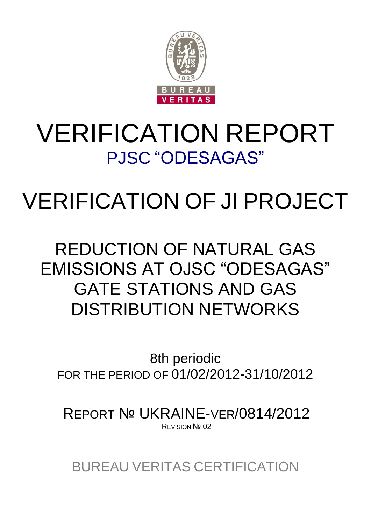

# VERIFICATION REPORT PJSC "ODESAGAS"

# VERIFICATION OF JI PROJECT

# REDUCTION OF NATURAL GAS EMISSIONS AT OJSC "ODESAGAS" GATE STATIONS AND GAS DISTRIBUTION NETWORKS

8th periodic FOR THE PERIOD OF 01/02/2012-31/10/2012

REPORT № UKRAINE-VER/0814/2012 REVISION Nº 02

BUREAU VERITAS CERTIFICATION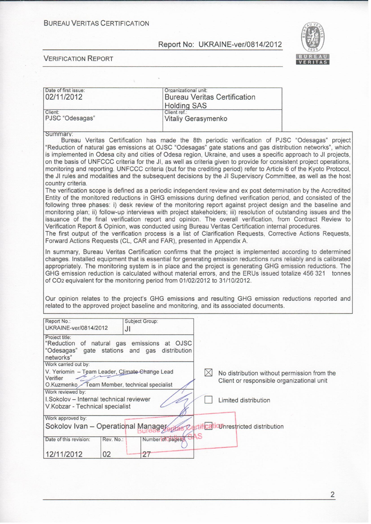#### **BUREAU VERITAS CERTIFICATION**

 $\chi$ 

#### Report No: UKRAINE-ver/0814/2012



#### **VERIFICATION REPORT**

| Date of first issue:                                                                   | Organizational unit:                                                                                                                                                                                                                      |
|----------------------------------------------------------------------------------------|-------------------------------------------------------------------------------------------------------------------------------------------------------------------------------------------------------------------------------------------|
| 02/11/2012                                                                             | <b>Bureau Veritas Certification</b>                                                                                                                                                                                                       |
|                                                                                        | <b>Holding SAS</b>                                                                                                                                                                                                                        |
| Client:<br>PJSC "Odesagas"                                                             | Client ref.:<br>Vitaliy Gerasymenko                                                                                                                                                                                                       |
| Summary:                                                                               |                                                                                                                                                                                                                                           |
|                                                                                        | Bureau Veritas Certification has made the 8th periodic verification of PJSC "Odesagas" project                                                                                                                                            |
|                                                                                        | "Reduction of natural gas emissions at OJSC "Odesagas" gate stations and gas distribution networks", which                                                                                                                                |
|                                                                                        | is implemented in Odesa city and cities of Odesa region, Ukraine, and uses a specific approach to JI projects,                                                                                                                            |
|                                                                                        | on the basis of UNFCCC criteria for the JI, as well as criteria given to provide for consistent project operations,<br>monitoring and reporting. UNFCCC criteria (but for the crediting period) refer to Article 6 of the Kyoto Protocol, |
|                                                                                        | the JI rules and modalities and the subsequent decisions by the JI Supervisory Committee, as well as the host                                                                                                                             |
| country criteria.                                                                      |                                                                                                                                                                                                                                           |
|                                                                                        | The verification scope is defined as a periodic independent review and ex post determination by the Accredited                                                                                                                            |
|                                                                                        | Entity of the monitored reductions in GHG emissions during defined verification period, and consisted of the                                                                                                                              |
|                                                                                        | following three phases: i) desk review of the monitoring report against project design and the baseline and                                                                                                                               |
|                                                                                        | monitoring plan; ii) follow-up interviews with project stakeholders; iii) resolution of outstanding issues and the<br>issuance of the final verification report and opinion. The overall verification, from Contract Review to            |
|                                                                                        | Verification Report & Opinion, was conducted using Bureau Veritas Certification internal procedures.                                                                                                                                      |
|                                                                                        | The first output of the verification process is a list of Clarification Requests, Corrective Actions Requests,                                                                                                                            |
| Forward Actions Requests (CL, CAR and FAR), presented in Appendix A.                   |                                                                                                                                                                                                                                           |
|                                                                                        | In summary, Bureau Veritas Certification confirms that the project is implemented according to determined                                                                                                                                 |
|                                                                                        | changes. Installed equipment that is essential for generating emission reductions runs reliably and is calibrated                                                                                                                         |
|                                                                                        | appropriately. The monitoring system is in place and the project is generating GHG emission reductions. The                                                                                                                               |
|                                                                                        | GHG emission reduction is calculated without material errors, and the ERUs issued totalize 456 321 tonnes                                                                                                                                 |
| of CO <sub>2</sub> equivalent for the monitoring period from 01/02/2012 to 31/10/2012. |                                                                                                                                                                                                                                           |
|                                                                                        |                                                                                                                                                                                                                                           |
|                                                                                        | Our opinion relates to the project's GHG emissions and resulting GHG emission reductions reported and<br>related to the approved project baseline and monitoring, and its associated documents.                                           |
|                                                                                        |                                                                                                                                                                                                                                           |
| Report No.:<br>Subject Group:                                                          |                                                                                                                                                                                                                                           |
| UKRAINE-ver/0814/2012<br>JI                                                            |                                                                                                                                                                                                                                           |
| Project title:                                                                         |                                                                                                                                                                                                                                           |
| "Reduction of natural gas emissions at OJSC                                            |                                                                                                                                                                                                                                           |
| gate stations and gas distribution<br>"Odesagas"                                       |                                                                                                                                                                                                                                           |
| networks"<br>Work carried out by:                                                      |                                                                                                                                                                                                                                           |
| V. Yeriomin - Team Leader, Climate Change Lead                                         | $\bowtie$<br>No distribution without permission from the                                                                                                                                                                                  |
| Verifier                                                                               | Client or responsible organizational unit                                                                                                                                                                                                 |
| Team Member, technical specialist<br>O.Kuzmenko                                        |                                                                                                                                                                                                                                           |
| Work reviewed by:                                                                      |                                                                                                                                                                                                                                           |
| I.Sokolov - Internal technical reviewer<br>V. Kobzar - Technical specialist            | Limited distribution                                                                                                                                                                                                                      |
|                                                                                        |                                                                                                                                                                                                                                           |
| Work approved by:                                                                      |                                                                                                                                                                                                                                           |
| Sokolov Ivan - Operational Manager                                                     | ctificatioUnrestricted distribution                                                                                                                                                                                                       |
| Date of this revision:<br>Rev. No.:                                                    | S<br>Number of pages?                                                                                                                                                                                                                     |
|                                                                                        |                                                                                                                                                                                                                                           |
| 12/11/2012<br>02<br>27                                                                 |                                                                                                                                                                                                                                           |

 $\overline{c}$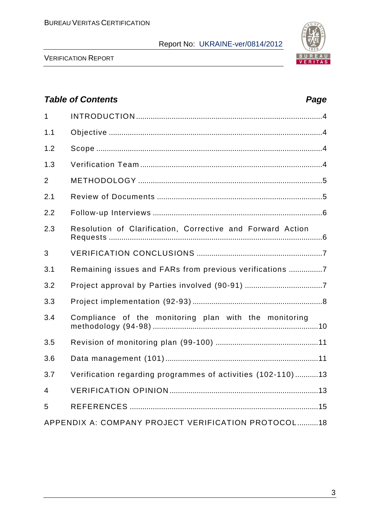

VERIFICATION REPORT

# *Table of Contents Page* 1 INTRODUCTION .........................................................................................4 1.1 Objective ......................................................................................................4 1.2 Scope ............................................................................................................4 1.3 Verification Team .......................................................................................4 2 METHODOLOGY ........................................................................................5 2.1 Review of Documents ...............................................................................5 2.2 Follow-up Interviews .................................................................................6 2.3 Resolution of Сlarification, Сorrective and Forward Action Requests ......................................................................................................6 3 VERIFICATION CONCLUSIONS ............................................................7 3.1 Remaining issues and FARs from previous verifications ................7 3.2 Project approval by Parties involved (90-91) .....................................7 3.3 Project implementation (92-93) ..............................................................8 3.4 Compliance of the monitoring plan with the monitoring methodology (94-98) ...............................................................................10 3.5 Revision of monitoring plan (99-100) .................................................11 3.6 Data management (101).........................................................................11 3.7 Verification regarding programmes of activities (102-110) ...........13 4 VERIFICATION OPINION .......................................................................13 5 REFERENCES ..........................................................................................15 APPENDIX A: COMPANY PROJECT VERIFICATION PROTOCOL..........18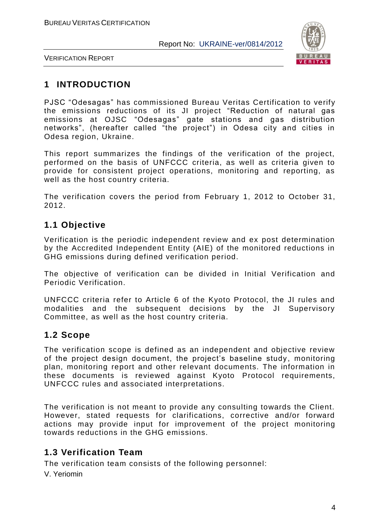

VERIFICATION REPORT

# **1 INTRODUCTION**

PJSC "Odesagas" has commissioned Bureau Veritas Certification to verify the emissions reductions of its JI project "Reduction of natural gas emissions at OJSC "Odesagas" gate stations and gas distribution networks", (hereafter called "the project") in Odesa city and cities in Odesa region, Ukraine.

This report summarizes the findings of the verification of the project, performed on the basis of UNFCCC criteria, as well as criteria given to provide for consistent project operations, monitoring and reporting, as well as the host country criteria.

The verification covers the period from February 1, 2012 to October 31, 2012.

# **1.1 Objective**

Verification is the periodic independent review and ex post determination by the Accredited Independent Entity (AIE) of the monitored reductions in GHG emissions during defined verification period.

The objective of verification can be divided in Initial Verification and Periodic Verification.

UNFCCC criteria refer to Article 6 of the Kyoto Protocol, the JI rules and modalities and the subsequent decisions by the JI Supervisory Committee, as well as the host country criteria.

# **1.2 Scope**

The verification scope is defined as an independent and objective review of the project design document, the project's baseline study, monitoring plan, monitoring report and other relevant documents. The information in these documents is reviewed against Kyoto Protocol requirements, UNFCCC rules and associated interpretations.

The verification is not meant to provide any consulting towards the Client. However, stated requests for clarifications, corrective and/or forward actions may provide input for improvement of the project monitoring towards reductions in the GHG emissions.

# **1.3 Verification Team**

The verification team consists of the following personnel:

V. Yeriomin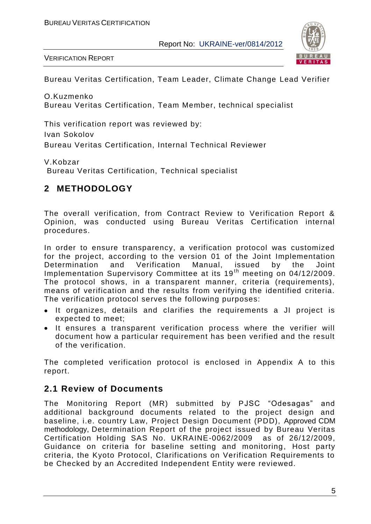

VERIFICATION REPORT

Bureau Veritas Certification, Team Leader, Climate Change Lead Verifier

O.Kuzmenko Bureau Veritas Certification, Team Member, technical specialist

This verification report was reviewed by: Ivan Sokolov Bureau Veritas Certification, Internal Technical Reviewer

V.Kobzar

Bureau Veritas Certification, Technical specialist

# **2 METHODOLOGY**

The overall verification, from Contract Review to Verification Report & Opinion, was conducted using Bureau Veritas Certification internal procedures.

In order to ensure transparency, a verification protocol was customized for the project, according to the version 01 of the Joint Implementation Determination and Verification Manual, issued by the Joint Implementation Supervisory Committee at its 19<sup>th</sup> meeting on 04/12/2009. The protocol shows, in a transparent manner, criteria (requirements), means of verification and the results from verifying the identified criteria. The verification protocol serves the following purposes:

- It organizes, details and clarifies the requirements a JI project is expected to meet;
- It ensures a transparent verification process where the verifier will document how a particular requirement has been verified and the result of the verification.

The completed verification protocol is enclosed in Appendix A to this report.

# **2.1 Review of Documents**

The Monitoring Report (MR) submitted by PJSC "Odesagas" and additional background documents related to the project design and baseline, i.e. country Law, Project Design Document (PDD), Approved CDM methodology, Determination Report of the project issued by Bureau Veritas Certification Holding SAS No. UKRAINE-0062/2009 as of 26/12/2009, Guidance on criteria for baseline setting and monitoring, Host party criteria, the Kyoto Protocol, Clarifications on Verification Requirements to be Checked by an Accredited Independent Entity were reviewed.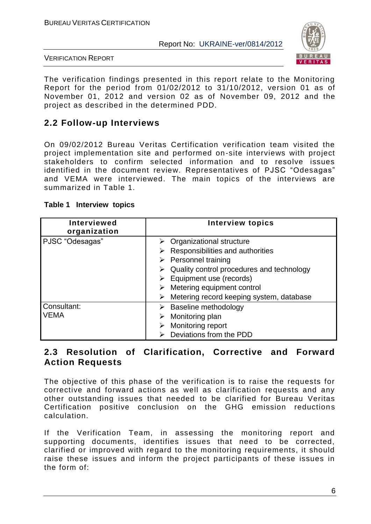

VERIFICATION REPORT

The verification findings presented in this report relate to the Monitoring Report for the period from 01/02/2012 to 31/10/2012, version 01 as of November 01, 2012 and version 02 as of November 09, 2012 and the project as described in the determined PDD.

# **2.2 Follow-up Interviews**

On 09/02/2012 Bureau Veritas Certification verification team visited the project implementation site and performed on-site interviews with project stakeholders to confirm selected information and to resolve issues identified in the document review. Representatives of PJSC "Odesagas" and VEMA were interviewed. The main topics of the interviews are summarized in Table 1.

| <b>Interviewed</b><br>organization | <b>Interview topics</b>                                                                                                                                                                                                                                                                      |
|------------------------------------|----------------------------------------------------------------------------------------------------------------------------------------------------------------------------------------------------------------------------------------------------------------------------------------------|
| PJSC "Odesagas"                    | $\triangleright$ Organizational structure<br>Responsibilities and authorities<br>$\triangleright$ Personnel training<br>Quality control procedures and technology<br>$\triangleright$ Equipment use (records)<br>Metering equipment control<br>Metering record keeping system, database<br>⋗ |
| Consultant:<br><b>VEMA</b>         | <b>Baseline methodology</b><br>Monitoring plan<br>Monitoring report<br>Deviations from the PDD                                                                                                                                                                                               |

#### **Table 1 Interview topics**

#### **2.3 Resolution of Clarification, Corrective and Forward Action Requests**

The objective of this phase of the verification is to raise the requests for corrective and forward actions as well as clarification requests and any other outstanding issues that needed to be clarified for Bureau Veritas Certification positive conclusion on the GHG emission reductions calculation.

If the Verification Team, in assessing the monitoring report and supporting documents, identifies issues that need to be corrected, clarified or improved with regard to the monitoring requirements, it should raise these issues and inform the project participants of these issues in the form of: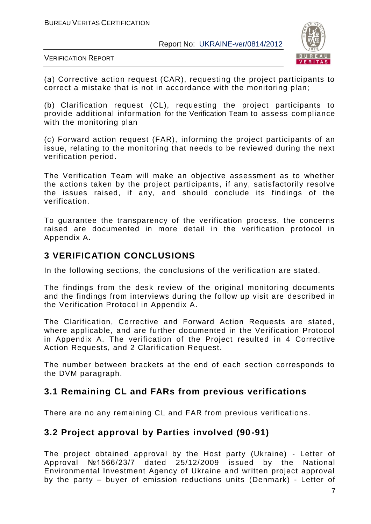

VERIFICATION REPORT

(а) Corrective action request (CAR), requesting the project participants to correct a mistake that is not in accordance with the monitoring plan;

(b) Clarification request (CL), requesting the project participants to provide additional information for the Verification Team to assess compliance with the monitoring plan

(c) Forward action request (FAR), informing the project participants of an issue, relating to the monitoring that needs to be reviewed during the next verification period.

The Verification Team will make an objective assessment as to whether the actions taken by the project participants, if any, satisfactorily resolve the issues raised, if any, and should conclude its findings of the verification.

To guarantee the transparency of the verification process, the concerns raised are documented in more detail in the verification protocol in Appendix A.

# **3 VERIFICATION CONCLUSIONS**

In the following sections, the conclusions of the verification are stated.

The findings from the desk review of the original monitoring documents and the findings from interviews during the follow up visit are described in the Verification Protocol in Appendix A.

The Clarification, Corrective and Forward Action Requests are stated, where applicable, and are further documented in the Verification Protocol in Appendix A. The verification of the Project resulted in 4 Corrective Action Requests, and 2 Clarification Request.

The number between brackets at the end of each section corresponds to the DVM paragraph.

# **3.1 Remaining CL and FARs from previous verifications**

There are no any remaining CL and FAR from previous verifications.

# **3.2 Project approval by Parties involved (90-91)**

The project obtained approval by the Host party (Ukraine) - Letter of Approval №1566/23/7 dated 25/12/2009 issued by the National Environmental Investment Agency of Ukraine and written project approval by the party – buyer of emission reductions units (Denmark) - Letter of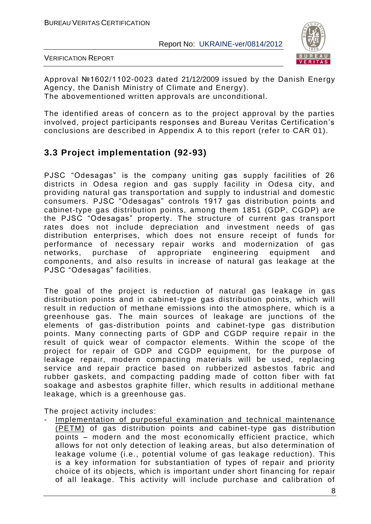

VERIFICATION REPORT

Approval №1602/1102-0023 dated 21/12/2009 issued by the Danish Energy Agency, the Danish Ministry of Climate and Energy). The abovementioned written approvals are unconditional.

The identified areas of concern as to the project approval by the parties involved, project participants responses and Bureau Veritas Certification"s conclusions are described in Appendix A to this report (refer to CAR 01).

# **3.3 Project implementation (92-93)**

PJSC "Odesagas" is the company uniting gas supply facilities of 26 districts in Odesa region and gas supply facility in Odesa city, and providing natural gas transportation and supply to industrial and domestic consumers. PJSC "Odesagas" controls 1917 gas distribution points and cabinet-type gas distribution points, among them 1851 (GDP, CGDP) are the PJSC "Odesagas" property. The structure of current gas transport rates does not include depreciation and investment needs of gas distribution enterprises, which does not ensure receipt of funds for performance of necessary repair works and modernization of gas networks, purchase of appropriate engineering equipment and components, and also results in increase of natural gas leakage at the PJSC "Odesagas" facilities.

The goal of the project is reduction of natural gas leakage in gas distribution points and in cabinet-type gas distribution points, which will result in reduction of methane emissions into the atmosphere, which is a greenhouse gas. The main sources of leakage are junctions of the elements of gas-distribution points and cabinet-type gas distribution points. Many connecting parts of GDP and CGDP require repair in the result of quick wear of compactor elements. Within the scope of the project for repair of GDP and CGDP equipment, for the purpose of leakage repair, modern compacting materials will be used, replacing service and repair practice based on rubberized asbestos fabric and rubber gaskets, and compacting padding made of cotton fiber with fat soakage and asbestos graphite filler, which results in additional methane leakage, which is a greenhouse gas.

The project activity includes:

Implementation of purposeful examination and technical maintenance (PETM) of gas distribution points and cabinet-type gas distribution points – modern and the most economically efficient practice, which allows for not only detection of leaking areas, but also determination of leakage volume (i.e., potential volume of gas leakage reduction). This is a key information for substantiation of types of repair and priority choice of its objects, which is important under short financing for repair of all leakage. This activity will include purchase and calibration of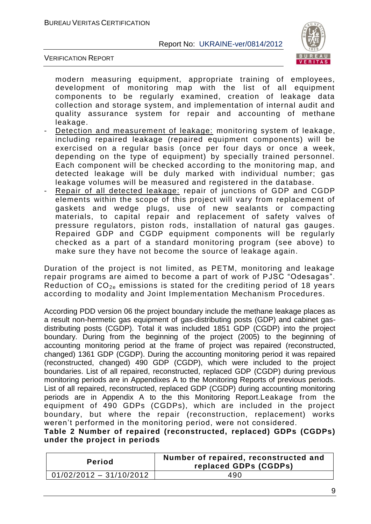

VERIFICATION REPORT

modern measuring equipment, appropriate training of employees, development of monitoring map with the list of all equipment components to be regularly examined, creation of leakage data collection and storage system, and implementation of internal audit and quality assurance system for repair and accounting of methane leakage.

- Detection and measurement of leakage: monitoring system of leakage, including repaired leakage (repaired equipment components) will be exercised on a regular basis (once per four days or once a week, depending on the type of equipment) by specially trained personnel. Each component will be checked according to the monitoring map, and detected leakage will be duly marked with individual number; gas leakage volumes will be measured and registered in the database.
- Repair of all detected leakage: repair of junctions of GDP and CGDP elements within the scope of this project will vary from replacement of gaskets and wedge plugs, use of new sealants or compacting materials, to capital repair and replacement of safety valves of pressure regulators, piston rods, installation of natural gas gauges. Repaired GDP and CGDP equipment components will be regularly checked as a part of a standard monitoring program (see above) to make sure they have not become the source of leakage again.

Duration of the project is not limited, as PETM, monitoring and leakage repair programs are aimed to become a part of work of PJSC "Odesagas". Reduction of  $CO<sub>2e</sub>$  emissions is stated for the crediting period of 18 years according to modality and Joint Implementation Mechanism Procedures.

According PDD version 06 the project boundary include the methane leakage places as a result non-hermetic gas equipment of gas-distributing posts (GDP) and cabinet gasdistributing posts (CGDP). Total it was included 1851 GDP (CGDP) into the project boundary. During from the beginning of the project (2005) to the beginning of accounting monitoring period at the frame of project was repaired (reconstructed, changed) 1361 GDP (CGDP). During the accounting monitoring period it was repaired (reconstructed, changed) 490 GDP (CGDP), which were included to the project boundaries. List of all repaired, reconstructed, replaced GDP (CGDP) during previous monitoring periods are in Appendixes A to the Monitoring Reports of previous periods. List of all repaired, reconstructed, replaced GDP (CGDP) during accounting monitoring periods are in Appendix A to the this Monitoring Report.Leakage from the equipment of 490 GDPs (CGDPs), which are included in the project boundary, but where the repair (reconstruction, replacement) works weren"t performed in the monitoring period, were not considered.

**Table 2 Number of repaired (reconstructed, replaced) GDPs (CGDPs) under the project in periods**

| <b>Period</b>             | Number of repaired, reconstructed and<br>replaced GDPs (CGDPs) |
|---------------------------|----------------------------------------------------------------|
| $01/02/2012 - 31/10/2012$ | 490                                                            |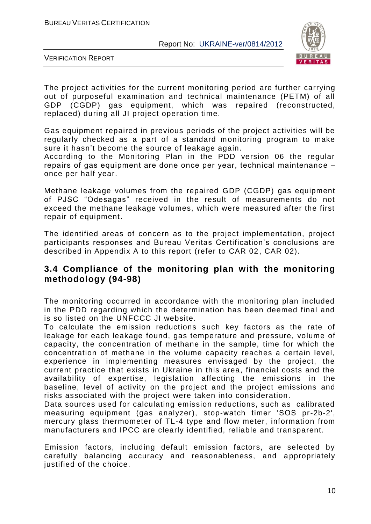

VERIFICATION REPORT

The project activities for the current monitoring period are further carrying out of purposeful examination and technical maintenance (PETM) of all GDP (CGDP) gas equipment, which was repaired (reconstructed, replaced) during all JI project operation time.

Gas equipment repaired in previous periods of the project activities will be regularly checked as a part of a standard monitoring program to make sure it hasn"t become the source of leakage again.

According to the Monitoring Plan in the PDD version 06 the regular repairs of gas equipment are done once per year, technical maintenance – once per half year.

Methane leakage volumes from the repaired GDP (CGDP) gas equipment of PJSC "Odesagas" received in the result of measurements do not exceed the methane leakage volumes, which were measured after the first repair of equipment.

The identified areas of concern as to the project implementation, project participants responses and Bureau Veritas Certification"s conclusions are described in Appendix A to this report (refer to CAR 02, CAR 02).

#### **3.4 Compliance of the monitoring plan with the monitoring methodology (94-98)**

The monitoring occurred in accordance with the monitoring plan included in the PDD regarding which the determination has been deemed final and is so listed on the UNFCCC JI website.

To calculate the emission reductions such key factors as the rate of leakage for each leakage found, gas temperature and pressure, volume of capacity, the concentration of methane in the sample, time for which the concentration of methane in the volume capacity reaches a certain level, experience in implementing measures envisaged by the project, the current practice that exists in Ukraine in this area, financial costs and the availability of expertise, legislation affecting the emissions in the baseline, level of activity on the project and the project emissions and risks associated with the project were taken into consideration.

Data sources used for calculating emission reductions, such as calibrated measuring equipment (gas analyzer), stop-watch timer "SOS pr-2b-2', mercury glass thermometer of TL-4 type and flow meter, information from manufacturers and IPCC are clearly identified, reliable and transparent.

Emission factors, including default emission factors, are selected by carefully balancing accuracy and reasonableness, and appropriately justified of the choice.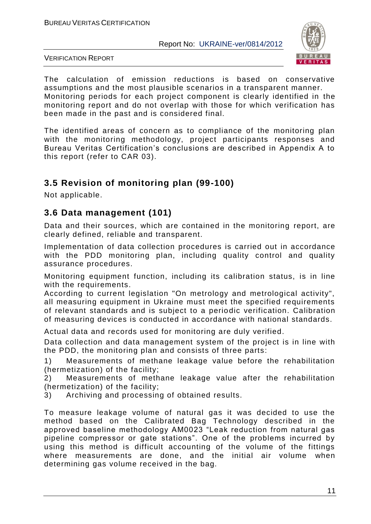

VERIFICATION REPORT

The calculation of emission reductions is based on conservative assumptions and the most plausible scenarios in a transparent manner. Monitoring periods for each project component is clearly identified in the monitoring report and do not overlap with those for which verification has been made in the past and is considered final.

The identified areas of concern as to compliance of the monitoring plan with the monitoring methodology, project participants responses and Bureau Veritas Certification"s conclusions are described in Appendix A to this report (refer to CAR 03).

# **3.5 Revision of monitoring plan (99-100)**

Not applicable.

# **3.6 Data management (101)**

Data and their sources, which are contained in the monitoring report, are clearly defined, reliable and transparent.

Implementation of data collection procedures is carried out in accordance with the PDD monitoring plan, including quality control and quality assurance procedures.

Monitoring equipment function, including its calibration status, is in line with the requirements.

According to current legislation "On metrology and metrological activity", all measuring equipment in Ukraine must meet the specified requirements of relevant standards and is subject to a periodic verification. Calibration of measuring devices is conducted in accordance with national standards.

Actual data and records used for monitoring are duly verified.

Data collection and data management system of the project is in line with the PDD, the monitoring plan and consists of three parts:

1) Measurements of methane leakage value before the rehabilitation (hermetization) of the facility;

2) Measurements of methane leakage value after the rehabilitation (hermetization) of the facility;

3) Archiving and processing of obtained results.

To measure leakage volume of natural gas it was decided to use the method based on the Calibrated Bag Technology described in the approved baseline methodology AM0023 "Leak reduction from natural gas pipeline compressor or gate stations". One of the problems incurred by using this method is difficult accounting of the volume of the fittings where measurements are done, and the initial air volume when determining gas volume received in the bag.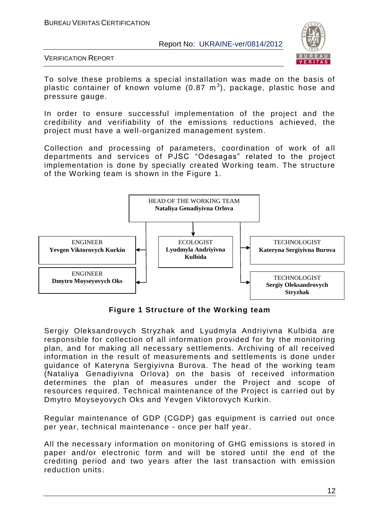

VERIFICATION REPORT

To solve these problems a special installation was made on the basis of plastic container of known volume (0.87  $\textsf{m}^{3}$ ), package, plastic hose and pressure gauge.

In order to ensure successful implementation of the project and the credibility and verifiability of the emissions reductions achieved, the project must have a well-organized management system.

Collection and processing of parameters, coordination of work of all departments and services of PJSC "Odesagas" related to the project implementation is done by specially created Working team. The structure of the Working team is shown in the Figure 1.



**Figure 1 Structure of the Working team**

Sergiy Oleksandrovych Stryzhak and Lyudmyla Andriyivna Kulbida are responsible for collection of all information provided for by the monitoring plan, and for making all necessary settlements. Archiving of all received information in the result of measurements and settlements is done under guidance of Kateryna Sergiyivna Burova. The head of the working team (Nataliya Genadiyivna Orlova) on the basis of received information determines the plan of measures under the Project and scope of resources required. Technical maintenance of the Project is carried out by Dmytro Moyseyovych Oks and Yevgen Viktorovych Kurkin.

Regular maintenance of GDP (CGDP) gas equipment is carried out once per year, technical maintenance - once per half year.

All the necessary information on monitoring of GHG emissions is stored in paper and/or electronic form and will be stored until the end of the crediting period and two years after the last transaction with emission reduction units.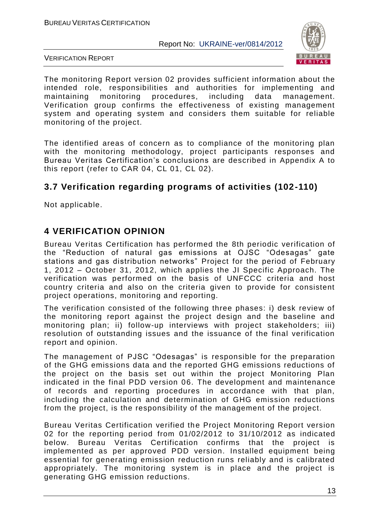

VERIFICATION REPORT

The monitoring Report version 02 provides sufficient information about the intended role, responsibilities and authorities for implementing and maintaining monitoring procedures, including data management. Verification group confirms the effectiveness of existing management system and operating system and considers them suitable for reliable monitoring of the project.

The identified areas of concern as to compliance of the monitoring plan with the monitoring methodology, project participants responses and Bureau Veritas Certification"s conclusions are described in Appendix A to this report (refer to CAR 04, CL 01, CL 02).

# **3.7 Verification regarding programs of activities (102-110)**

Not applicable.

# **4 VERIFICATION OPINION**

Bureau Veritas Certification has performed the 8th periodic verification of the "Reduction of natural gas emissions at OJSC "Odesagas" gate stations and gas distribution networks" Project for the period of February 1, 2012 – October 31, 2012, which applies the JI Specific Approach. The verification was performed on the basis of UNFCCC criteria and host country criteria and also on the criteria given to provide for consistent project operations, monitoring and reporting.

The verification consisted of the following three phases: i) desk review of the monitoring report against the project design and the baseline and monitoring plan; ii) follow-up interviews with project stakeholders; iii) resolution of outstanding issues and the issuance of the final verification report and opinion.

The management of PJSC "Odesagas" is responsible for the preparation of the GHG emissions data and the reported GHG emissions reductions of the project on the basis set out within the project Monitoring Plan indicated in the final PDD version 06. The development and maintenance of records and reporting procedures in accordance with that plan, including the calculation and determination of GHG emission reductions from the project, is the responsibility of the management of the project.

Bureau Veritas Certification verified the Project Monitoring Report version 02 for the reporting period from 01/02/2012 to 31/10/2012 as indicated below. Bureau Veritas Certification confirms that the project is implemented as per approved PDD version. Installed equipment being essential for generating emission reduction runs reliably and is calibrated appropriately. The monitoring system is in place and the project is generating GHG emission reductions.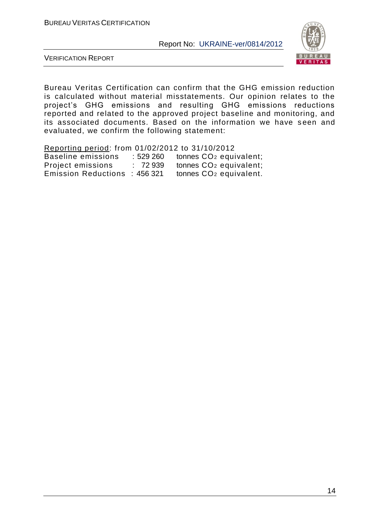

VERIFICATION REPORT

Bureau Veritas Certification can confirm that the GHG emission reduction is calculated without material misstatements. Our opinion relates to the project"s GHG emissions and resulting GHG emissions reductions reported and related to the approved project baseline and monitoring, and its associated documents. Based on the information we have seen and evaluated, we confirm the following statement:

Reporting period: from 01/02/2012 to 31/10/2012 Baseline emissions : 529 260 tonnes CO<sub>2</sub> equivalent; Project emissions : 72 939 **bonnes CO<sub>2</sub> equivalent;**<br>Emission Reductions : 456 321 **bonnes CO<sub>2</sub> equivalent**. Emission Reductions : 456 321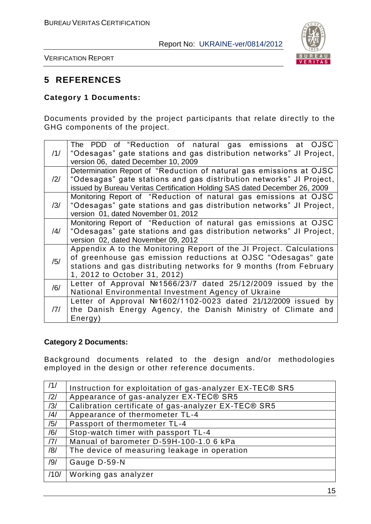

VERIFICATION REPORT

# **5 REFERENCES**

#### **Category 1 Documents:**

Documents provided by the project participants that relate directly to the GHG components of the project.

| /1/            | The PDD of "Reduction of natural gas emissions at OJSC<br>"Odesagas" gate stations and gas distribution networks" JI Project,<br>version 06, dated December 10, 2009                                                                       |
|----------------|--------------------------------------------------------------------------------------------------------------------------------------------------------------------------------------------------------------------------------------------|
| $\frac{12}{1}$ | Determination Report of "Reduction of natural gas emissions at OJSC<br>"Odesagas" gate stations and gas distribution networks" JI Project,<br>issued by Bureau Veritas Certification Holding SAS dated December 26, 2009                   |
| /3/            | Monitoring Report of "Reduction of natural gas emissions at OJSC<br>"Odesagas" gate stations and gas distribution networks" JI Project,<br>version 01, dated November 01, 2012                                                             |
| $\frac{14}{1}$ | Monitoring Report of "Reduction of natural gas emissions at OJSC<br>"Odesagas" gate stations and gas distribution networks" JI Project,<br>version 02, dated November 09, 2012                                                             |
| /5/            | Appendix A to the Monitoring Report of the JI Project. Calculations<br>of greenhouse gas emission reductions at OJSC "Odesagas" gate<br>stations and gas distributing networks for 9 months (from February<br>1, 2012 to October 31, 2012) |
| /6/            | Letter of Approval №1566/23/7 dated 25/12/2009 issued by the<br>National Environmental Investment Agency of Ukraine                                                                                                                        |
| 7              | Letter of Approval Nº1602/1102-0023 dated 21/12/2009 issued by<br>the Danish Energy Agency, the Danish Ministry of Climate and<br>Energy)                                                                                                  |

#### **Category 2 Documents:**

Background documents related to the design and/or methodologies employed in the design or other reference documents.

| /1/            | Instruction for exploitation of gas-analyzer EX-TEC® SR5 |
|----------------|----------------------------------------------------------|
| /2/            | Appearance of gas-analyzer EX-TEC® SR5                   |
| /3/            | Calibration certificate of gas-analyzer EX-TEC® SR5      |
| $\frac{14}{3}$ | Appearance of thermometer TL-4                           |
| /5/            | Passport of thermometer TL-4                             |
| /6/            | Stop-watch timer with passport TL-4                      |
| 7              | Manual of barometer D-59H-100-1.0 6 kPa                  |
| /8/            | The device of measuring leakage in operation             |
| /9/            | Gauge D-59-N                                             |
| /10/           | Working gas analyzer                                     |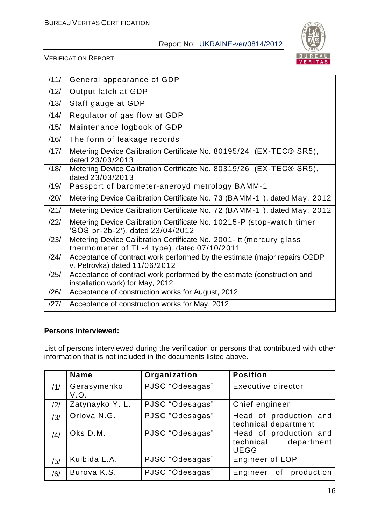

VERIFICATION REPORT

| /11/ | General appearance of GDP                                                                                          |
|------|--------------------------------------------------------------------------------------------------------------------|
| /12/ | Output latch at GDP                                                                                                |
| /13/ | Staff gauge at GDP                                                                                                 |
| /14/ | Regulator of gas flow at GDP                                                                                       |
| /15/ | Maintenance logbook of GDP                                                                                         |
| /16/ | The form of leakage records                                                                                        |
| /17/ | Metering Device Calibration Certificate No. 80195/24 (EX-TEC® SR5),<br>dated 23/03/2013                            |
| /18/ | Metering Device Calibration Certificate No. 80319/26 (EX-TEC® SR5),<br>dated 23/03/2013                            |
| /19/ | Passport of barometer-aneroyd metrology BAMM-1                                                                     |
| /20/ | Metering Device Calibration Certificate No. 73 (BAMM-1), dated May, 2012                                           |
| /21/ | Metering Device Calibration Certificate No. 72 (BAMM-1), dated May, 2012                                           |
| /22/ | Metering Device Calibration Certificate No. 10215-P (stop-watch timer<br>'SOS pr-2b-2'), dated 23/04/2012          |
| /23/ | Metering Device Calibration Certificate No. 2001- tt (mercury glass<br>thermometer of TL-4 type), dated 07/10/2011 |
| /24/ | Acceptance of contract work performed by the estimate (major repairs CGDP<br>v. Petrovka) dated 11/06/2012         |
| /25/ | Acceptance of contract work performed by the estimate (construction and<br>installation work) for May, 2012        |
| /26/ | Acceptance of construction works for August, 2012                                                                  |
| /27/ | Acceptance of construction works for May, 2012                                                                     |

#### **Persons interviewed:**

List of persons interviewed during the verification or persons that contributed with other information that is not included in the documents listed above.

|     | <b>Name</b>         | Organization    | <b>Position</b>                                               |  |  |
|-----|---------------------|-----------------|---------------------------------------------------------------|--|--|
| /1/ | Gerasymenko<br>V.O. | PJSC "Odesagas" | Executive director                                            |  |  |
| /2/ | Zatynayko Y. L.     | PJSC "Odesagas" | Chief engineer                                                |  |  |
| /3/ | Orlova N.G.         | PJSC "Odesagas" | Head of production and<br>technical department                |  |  |
| /4/ | Oks D.M.            | PJSC "Odesagas" | Head of production and<br>technical department<br><b>UEGG</b> |  |  |
| /5/ | Kulbida L.A.        | PJSC "Odesagas" | Engineer of LOP                                               |  |  |
| /6/ | Burova K.S.         | PJSC "Odesagas" | Engineer of production                                        |  |  |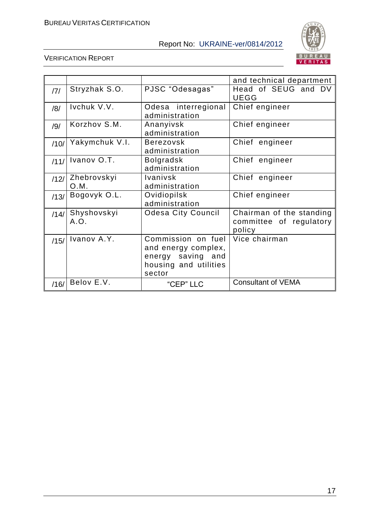

|      |                     |                                                                                                   | and technical department                                      |
|------|---------------------|---------------------------------------------------------------------------------------------------|---------------------------------------------------------------|
| 7    | Stryzhak S.O.       | PJSC "Odesagas"                                                                                   | Head of SEUG and DV<br><b>UEGG</b>                            |
| /8/  | Ivchuk V.V.         | Odesa interregional<br>administration                                                             | Chief engineer                                                |
| /9/  | Korzhov S.M.        | Ananyivsk<br>administration                                                                       | Chief engineer                                                |
| /10/ | Yakymchuk V.I.      | <b>Berezovsk</b><br>administration                                                                | Chief engineer                                                |
| /11/ | Ivanov O.T.         | <b>Bolgradsk</b><br>administration                                                                | Chief engineer                                                |
| /12/ | Zhebrovskyi<br>O.M. | <b>Ivanivsk</b><br>administration                                                                 | Chief engineer                                                |
| /13/ | Bogovyk O.L.        | Ovidiopilsk<br>administration                                                                     | Chief engineer                                                |
| /14/ | Shyshovskyi<br>A.O. | <b>Odesa City Council</b>                                                                         | Chairman of the standing<br>committee of regulatory<br>policy |
| /15/ | Ivanov A.Y.         | Commission on fuel<br>and energy complex,<br>energy saving and<br>housing and utilities<br>sector | Vice chairman                                                 |
| /16/ | Belov E.V.          | "CEP" LLC                                                                                         | <b>Consultant of VEMA</b>                                     |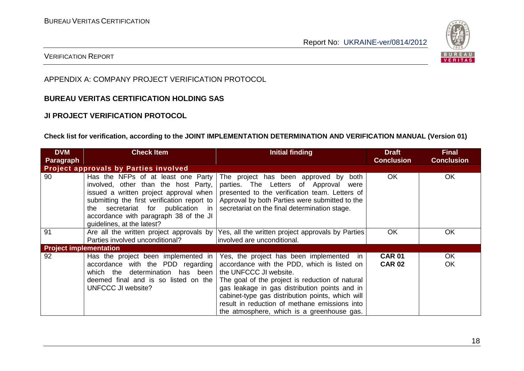

#### VERIFICATION REPORT

#### APPENDIX A: COMPANY PROJECT VERIFICATION PROTOCOL

#### **BUREAU VERITAS CERTIFICATION HOLDING SAS**

#### **JI PROJECT VERIFICATION PROTOCOL**

#### **Check list for verification, according to the JOINT IMPLEMENTATION DETERMINATION AND VERIFICATION MANUAL (Version 01)**

| <b>DVM</b>                    | <b>Check Item</b>                                                                                                                                                                                                                                                                    | Initial finding                                                                                                                                                                                                                                                                                                                                                          | <b>Draft</b>                   | <b>Final</b>      |
|-------------------------------|--------------------------------------------------------------------------------------------------------------------------------------------------------------------------------------------------------------------------------------------------------------------------------------|--------------------------------------------------------------------------------------------------------------------------------------------------------------------------------------------------------------------------------------------------------------------------------------------------------------------------------------------------------------------------|--------------------------------|-------------------|
| <b>Paragraph</b>              |                                                                                                                                                                                                                                                                                      |                                                                                                                                                                                                                                                                                                                                                                          | <b>Conclusion</b>              | <b>Conclusion</b> |
|                               | <b>Project approvals by Parties involved</b>                                                                                                                                                                                                                                         |                                                                                                                                                                                                                                                                                                                                                                          |                                |                   |
| 90                            | Has the NFPs of at least one Party<br>involved, other than the host Party,<br>issued a written project approval when<br>submitting the first verification report to<br>secretariat for publication in<br>the<br>accordance with paragraph 38 of the JI<br>quidelines, at the latest? | The project has been approved by<br>both<br>parties. The Letters of Approval<br>were<br>presented to the verification team. Letters of<br>Approval by both Parties were submitted to the<br>secretariat on the final determination stage.                                                                                                                                | <b>OK</b>                      | <b>OK</b>         |
| 91                            | Are all the written project approvals by $\parallel$<br>Parties involved unconditional?                                                                                                                                                                                              | Yes, all the written project approvals by Parties<br>involved are unconditional.                                                                                                                                                                                                                                                                                         | <b>OK</b>                      | <b>OK</b>         |
| <b>Project implementation</b> |                                                                                                                                                                                                                                                                                      |                                                                                                                                                                                                                                                                                                                                                                          |                                |                   |
| 92                            | Has the project been implemented in<br>accordance with the PDD regarding<br>which the determination has been<br>deemed final and is so listed on the<br>UNFCCC JI website?                                                                                                           | Yes, the project has been implemented in<br>accordance with the PDD, which is listed on<br>the UNFCCC JI website.<br>The goal of the project is reduction of natural<br>gas leakage in gas distribution points and in<br>cabinet-type gas distribution points, which will<br>result in reduction of methane emissions into<br>the atmosphere, which is a greenhouse gas. | <b>CAR 01</b><br><b>CAR 02</b> | <b>OK</b><br>OK   |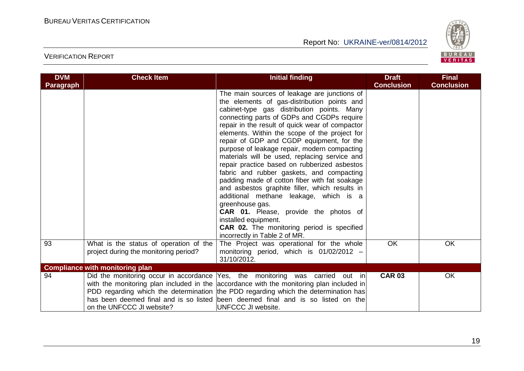

| <b>DVM</b>       | <b>Check Item</b>                                                               | <b>Initial finding</b>                                                                                                                                                                                                                                                                                                                                                                                                                                                                                                                                                                                                                                                                                                                                                                                                                                        | <b>Draft</b>      | <b>Final</b>      |
|------------------|---------------------------------------------------------------------------------|---------------------------------------------------------------------------------------------------------------------------------------------------------------------------------------------------------------------------------------------------------------------------------------------------------------------------------------------------------------------------------------------------------------------------------------------------------------------------------------------------------------------------------------------------------------------------------------------------------------------------------------------------------------------------------------------------------------------------------------------------------------------------------------------------------------------------------------------------------------|-------------------|-------------------|
| <b>Paragraph</b> |                                                                                 |                                                                                                                                                                                                                                                                                                                                                                                                                                                                                                                                                                                                                                                                                                                                                                                                                                                               | <b>Conclusion</b> | <b>Conclusion</b> |
|                  |                                                                                 | The main sources of leakage are junctions of<br>the elements of gas-distribution points and<br>cabinet-type gas distribution points. Many<br>connecting parts of GDPs and CGDPs require<br>repair in the result of quick wear of compactor<br>elements. Within the scope of the project for<br>repair of GDP and CGDP equipment, for the<br>purpose of leakage repair, modern compacting<br>materials will be used, replacing service and<br>repair practice based on rubberized asbestos<br>fabric and rubber gaskets, and compacting<br>padding made of cotton fiber with fat soakage<br>and asbestos graphite filler, which results in<br>additional methane leakage, which is a<br>greenhouse gas.<br>CAR 01. Please, provide the photos of<br>installed equipment.<br><b>CAR 02.</b> The monitoring period is specified<br>incorrectly in Table 2 of MR. |                   |                   |
| 93               | What is the status of operation of the<br>project during the monitoring period? | The Project was operational for the whole<br>monitoring period, which is $01/02/2012 -$<br>31/10/2012.                                                                                                                                                                                                                                                                                                                                                                                                                                                                                                                                                                                                                                                                                                                                                        | <b>OK</b>         | <b>OK</b>         |
|                  | <b>Compliance with monitoring plan</b>                                          |                                                                                                                                                                                                                                                                                                                                                                                                                                                                                                                                                                                                                                                                                                                                                                                                                                                               |                   |                   |
| 94               | on the UNFCCC JI website?                                                       | Did the monitoring occur in accordance $\text{Yes}, \text{ the monitoring was carried out in}$<br>with the monitoring plan included in the accordance with the monitoring plan included in<br>PDD regarding which the determination the PDD regarding which the determination has<br>has been deemed final and is so listed been deemed final and is so listed on the<br>UNFCCC JI website.                                                                                                                                                                                                                                                                                                                                                                                                                                                                   | <b>CAR 03</b>     | <b>OK</b>         |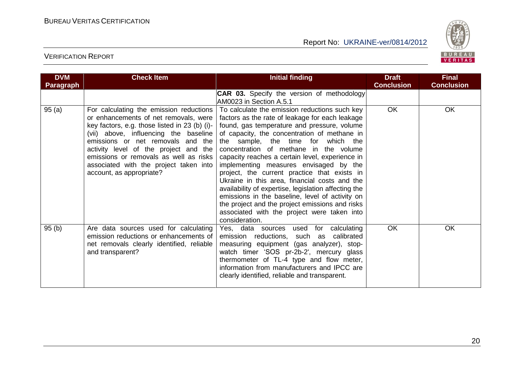

| <b>DVM</b>       | <b>Check Item</b>                                                                                                                                                                                                                                                                                                                                                        | <b>Initial finding</b>                                                                                                                                                                                                                                                                                                                                                                                                                                                                                                                                                                                                                                                                                          | <b>Draft</b>      | <b>Final</b>      |
|------------------|--------------------------------------------------------------------------------------------------------------------------------------------------------------------------------------------------------------------------------------------------------------------------------------------------------------------------------------------------------------------------|-----------------------------------------------------------------------------------------------------------------------------------------------------------------------------------------------------------------------------------------------------------------------------------------------------------------------------------------------------------------------------------------------------------------------------------------------------------------------------------------------------------------------------------------------------------------------------------------------------------------------------------------------------------------------------------------------------------------|-------------------|-------------------|
| <b>Paragraph</b> |                                                                                                                                                                                                                                                                                                                                                                          |                                                                                                                                                                                                                                                                                                                                                                                                                                                                                                                                                                                                                                                                                                                 | <b>Conclusion</b> | <b>Conclusion</b> |
|                  |                                                                                                                                                                                                                                                                                                                                                                          | <b>CAR 03.</b> Specify the version of methodology<br>AM0023 in Section A.5.1                                                                                                                                                                                                                                                                                                                                                                                                                                                                                                                                                                                                                                    |                   |                   |
| 95(a)            | For calculating the emission reductions<br>or enhancements of net removals, were<br>key factors, e.g. those listed in 23 (b) (i)-<br>(vii) above, influencing the baseline<br>emissions or net removals and the<br>activity level of the project and the<br>emissions or removals as well as risks<br>associated with the project taken into<br>account, as appropriate? | To calculate the emission reductions such key<br>factors as the rate of leakage for each leakage<br>found, gas temperature and pressure, volume<br>of capacity, the concentration of methane in<br>the sample, the time for<br>which the<br>concentration of methane in the volume<br>capacity reaches a certain level, experience in<br>implementing measures envisaged by the<br>project, the current practice that exists in<br>Ukraine in this area, financial costs and the<br>availability of expertise, legislation affecting the<br>emissions in the baseline, level of activity on<br>the project and the project emissions and risks<br>associated with the project were taken into<br>consideration. | <b>OK</b>         | <b>OK</b>         |
| 95(b)            | Are data sources used for calculating<br>emission reductions or enhancements of<br>net removals clearly identified, reliable<br>and transparent?                                                                                                                                                                                                                         | Yes, data sources used for calculating<br>emission reductions, such as<br>calibrated<br>measuring equipment (gas analyzer), stop-<br>watch timer 'SOS pr-2b-2', mercury glass<br>thermometer of TL-4 type and flow meter,<br>information from manufacturers and IPCC are<br>clearly identified, reliable and transparent.                                                                                                                                                                                                                                                                                                                                                                                       | <b>OK</b>         | <b>OK</b>         |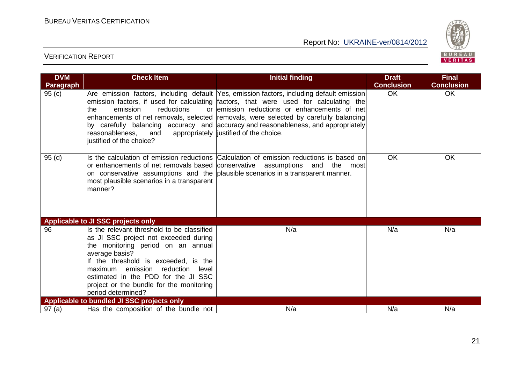

| <b>DVM</b> | <b>Check Item</b>                                                                                                                                                                                                                                                                                                                | <b>Initial finding</b>                                                                                                                                                                                                                                                                                                                                                                                                                                       | <b>Draft</b>      | <b>Final</b>      |
|------------|----------------------------------------------------------------------------------------------------------------------------------------------------------------------------------------------------------------------------------------------------------------------------------------------------------------------------------|--------------------------------------------------------------------------------------------------------------------------------------------------------------------------------------------------------------------------------------------------------------------------------------------------------------------------------------------------------------------------------------------------------------------------------------------------------------|-------------------|-------------------|
| Paragraph  |                                                                                                                                                                                                                                                                                                                                  |                                                                                                                                                                                                                                                                                                                                                                                                                                                              | <b>Conclusion</b> | <b>Conclusion</b> |
| 95(c)      | emission<br>reductions<br>the<br>reasonableness,<br>and<br>justified of the choice?                                                                                                                                                                                                                                              | Are emission factors, including default Yes, emission factors, including default emission<br>emission factors, if used for calculating factors, that were used for calculating the<br>or emission reductions or enhancements of net<br>enhancements of net removals, selected removals, were selected by carefully balancing<br>by carefully balancing accuracy and accuracy and reasonableness, and appropriately<br>appropriately justified of the choice. | <b>OK</b>         | <b>OK</b>         |
| 95(d)      | or enhancements of net removals based conservative assumptions and<br>most plausible scenarios in a transparent<br>manner?                                                                                                                                                                                                       | Is the calculation of emission reductions Calculation of emission reductions is based on<br>the<br>most<br>on conservative assumptions and the plausible scenarios in a transparent manner.                                                                                                                                                                                                                                                                  | <b>OK</b>         | <b>OK</b>         |
|            | Applicable to JI SSC projects only                                                                                                                                                                                                                                                                                               |                                                                                                                                                                                                                                                                                                                                                                                                                                                              |                   |                   |
| 96         | Is the relevant threshold to be classified<br>as JI SSC project not exceeded during<br>the monitoring period on an annual<br>average basis?<br>If the threshold is exceeded, is the<br>maximum emission reduction level<br>estimated in the PDD for the JI SSC<br>project or the bundle for the monitoring<br>period determined? | N/a                                                                                                                                                                                                                                                                                                                                                                                                                                                          | N/a               | N/a               |
|            | Applicable to bundled JI SSC projects only                                                                                                                                                                                                                                                                                       |                                                                                                                                                                                                                                                                                                                                                                                                                                                              |                   |                   |
| 97(a)      | Has the composition of the bundle not                                                                                                                                                                                                                                                                                            | N/a                                                                                                                                                                                                                                                                                                                                                                                                                                                          | N/a               | N/a               |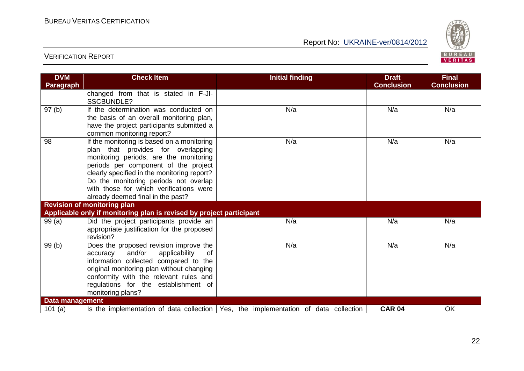

| <b>DVM</b>             | <b>Check Item</b>                                                                    | <b>Initial finding</b>                                                                      | <b>Draft</b>      | <b>Final</b>      |
|------------------------|--------------------------------------------------------------------------------------|---------------------------------------------------------------------------------------------|-------------------|-------------------|
| <b>Paragraph</b>       |                                                                                      |                                                                                             | <b>Conclusion</b> | <b>Conclusion</b> |
|                        | changed from that is stated in F-JI-<br><b>SSCBUNDLE?</b>                            |                                                                                             |                   |                   |
| 97(b)                  | If the determination was conducted on                                                | N/a                                                                                         | N/a               | N/a               |
|                        | the basis of an overall monitoring plan,                                             |                                                                                             |                   |                   |
|                        | have the project participants submitted a<br>common monitoring report?               |                                                                                             |                   |                   |
| 98                     | If the monitoring is based on a monitoring                                           | N/a                                                                                         | N/a               | N/a               |
|                        | plan that provides for overlapping                                                   |                                                                                             |                   |                   |
|                        | monitoring periods, are the monitoring                                               |                                                                                             |                   |                   |
|                        | periods per component of the project                                                 |                                                                                             |                   |                   |
|                        | clearly specified in the monitoring report?<br>Do the monitoring periods not overlap |                                                                                             |                   |                   |
|                        | with those for which verifications were                                              |                                                                                             |                   |                   |
|                        | already deemed final in the past?                                                    |                                                                                             |                   |                   |
|                        | <b>Revision of monitoring plan</b>                                                   |                                                                                             |                   |                   |
|                        | Applicable only if monitoring plan is revised by project participant                 |                                                                                             |                   |                   |
| 99(a)                  | Did the project participants provide an                                              | N/a                                                                                         | N/a               | N/a               |
|                        | appropriate justification for the proposed<br>revision?                              |                                                                                             |                   |                   |
| 99(b)                  | Does the proposed revision improve the                                               | N/a                                                                                         | N/a               | N/a               |
|                        | and/or<br>applicability<br>accuracy<br>of                                            |                                                                                             |                   |                   |
|                        | information collected compared to the                                                |                                                                                             |                   |                   |
|                        | original monitoring plan without changing                                            |                                                                                             |                   |                   |
|                        | conformity with the relevant rules and<br>regulations for the establishment of       |                                                                                             |                   |                   |
|                        | monitoring plans?                                                                    |                                                                                             |                   |                   |
| <b>Data management</b> |                                                                                      |                                                                                             |                   |                   |
| 101 $(a)$              |                                                                                      | Is the implementation of data collection $\vert$ Yes, the implementation of data collection | <b>CAR 04</b>     | OK                |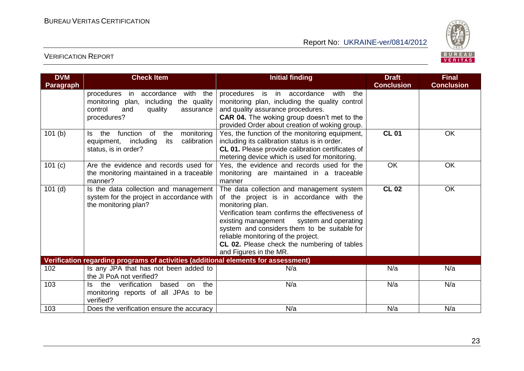

| <b>DVM</b><br><b>Paragraph</b>                                                     | <b>Check Item</b>                                                                                                                                | <b>Initial finding</b>                                                                                                                                                                                                                                                                                                                                                             | <b>Draft</b><br><b>Conclusion</b> | <b>Final</b><br><b>Conclusion</b> |  |
|------------------------------------------------------------------------------------|--------------------------------------------------------------------------------------------------------------------------------------------------|------------------------------------------------------------------------------------------------------------------------------------------------------------------------------------------------------------------------------------------------------------------------------------------------------------------------------------------------------------------------------------|-----------------------------------|-----------------------------------|--|
|                                                                                    | with the<br>in accordance<br>procedures<br>the quality<br>monitoring plan,<br>including<br>control<br>and<br>quality<br>assurance<br>procedures? | procedures is in accordance<br>with<br>the<br>monitoring plan, including the quality control<br>and quality assurance procedures.<br><b>CAR 04.</b> The woking group doesn't met to the<br>provided Order about creation of woking group.                                                                                                                                          |                                   |                                   |  |
| 101(b)                                                                             | function of<br>monitoring<br>the<br>the<br>ls.<br>equipment, including<br>its<br>calibration<br>status, is in order?                             | Yes, the function of the monitoring equipment,<br>including its calibration status is in order.<br>CL 01. Please provide calibration certificates of<br>metering device which is used for monitoring.                                                                                                                                                                              | <b>CL 01</b>                      | OK                                |  |
| 101 (c)                                                                            | Are the evidence and records used for<br>the monitoring maintained in a traceable<br>manner?                                                     | Yes, the evidence and records used for the<br>monitoring are maintained in a traceable<br>manner                                                                                                                                                                                                                                                                                   | OK                                | OK                                |  |
| $101$ (d)                                                                          | Is the data collection and management<br>system for the project in accordance with<br>the monitoring plan?                                       | The data collection and management system<br>of the project is in accordance with the<br>monitoring plan.<br>Verification team confirms the effectiveness of<br>existing management<br>system and operating<br>system and considers them to be suitable for<br>reliable monitoring of the project.<br><b>CL 02.</b> Please check the numbering of tables<br>and Figures in the MR. | <b>CL 02</b>                      | OK                                |  |
| Verification regarding programs of activities (additional elements for assessment) |                                                                                                                                                  |                                                                                                                                                                                                                                                                                                                                                                                    |                                   |                                   |  |
| 102                                                                                | Is any JPA that has not been added to<br>the JI PoA not verified?                                                                                | N/a                                                                                                                                                                                                                                                                                                                                                                                | N/a                               | N/a                               |  |
| 103                                                                                | verification<br>the<br>the<br>based<br>on<br>Is.<br>monitoring reports of all JPAs to be<br>verified?                                            | N/a                                                                                                                                                                                                                                                                                                                                                                                | N/a                               | N/a                               |  |
| 103                                                                                | Does the verification ensure the accuracy                                                                                                        | N/a                                                                                                                                                                                                                                                                                                                                                                                | N/a                               | N/a                               |  |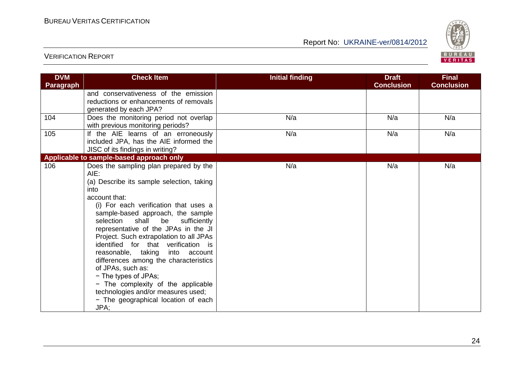

| <b>DVM</b>       | <b>Check Item</b>                                                                                                                                                                                                                                                                                                                                                                                                                                                                                                                                                                                                                  | <b>Initial finding</b> | <b>Draft</b>      | <b>Final</b>      |
|------------------|------------------------------------------------------------------------------------------------------------------------------------------------------------------------------------------------------------------------------------------------------------------------------------------------------------------------------------------------------------------------------------------------------------------------------------------------------------------------------------------------------------------------------------------------------------------------------------------------------------------------------------|------------------------|-------------------|-------------------|
| <b>Paragraph</b> |                                                                                                                                                                                                                                                                                                                                                                                                                                                                                                                                                                                                                                    |                        | <b>Conclusion</b> | <b>Conclusion</b> |
|                  | and conservativeness of the emission<br>reductions or enhancements of removals<br>generated by each JPA?                                                                                                                                                                                                                                                                                                                                                                                                                                                                                                                           |                        |                   |                   |
| 104              | Does the monitoring period not overlap<br>with previous monitoring periods?                                                                                                                                                                                                                                                                                                                                                                                                                                                                                                                                                        | N/a                    | N/a               | N/a               |
| 105              | If the AIE learns of an erroneously<br>included JPA, has the AIE informed the<br>JISC of its findings in writing?                                                                                                                                                                                                                                                                                                                                                                                                                                                                                                                  | N/a                    | N/a               | N/a               |
|                  | Applicable to sample-based approach only                                                                                                                                                                                                                                                                                                                                                                                                                                                                                                                                                                                           |                        |                   |                   |
| 106              | Does the sampling plan prepared by the<br>AIE:<br>(a) Describe its sample selection, taking<br>into<br>account that:<br>(i) For each verification that uses a<br>sample-based approach, the sample<br>selection<br>shall<br>be<br>sufficiently<br>representative of the JPAs in the JI<br>Project. Such extrapolation to all JPAs<br>identified for that verification is<br>reasonable, taking<br>into<br>account<br>differences among the characteristics<br>of JPAs, such as:<br>- The types of JPAs;<br>- The complexity of the applicable<br>technologies and/or measures used;<br>- The geographical location of each<br>JPA; | N/a                    | N/a               | N/a               |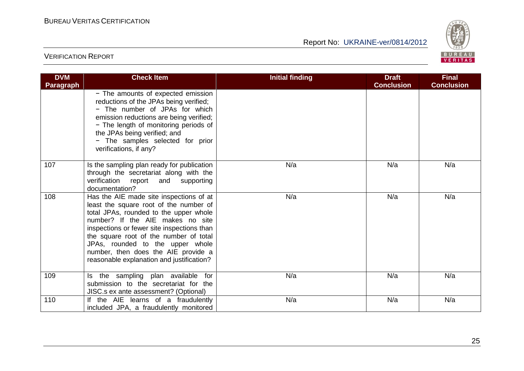

| <b>DVM</b><br><b>Paragraph</b> | <b>Check Item</b>                                                                                                                                                                                                                                                                                                                                                               | <b>Initial finding</b> | <b>Draft</b><br><b>Conclusion</b> | <b>Final</b><br><b>Conclusion</b> |
|--------------------------------|---------------------------------------------------------------------------------------------------------------------------------------------------------------------------------------------------------------------------------------------------------------------------------------------------------------------------------------------------------------------------------|------------------------|-----------------------------------|-----------------------------------|
|                                | - The amounts of expected emission<br>reductions of the JPAs being verified;<br>- The number of JPAs for which<br>emission reductions are being verified;<br>- The length of monitoring periods of<br>the JPAs being verified; and<br>- The samples selected for prior<br>verifications, if any?                                                                                |                        |                                   |                                   |
| 107                            | Is the sampling plan ready for publication<br>through the secretariat along with the<br>verification report and supporting<br>documentation?                                                                                                                                                                                                                                    | N/a                    | N/a                               | N/a                               |
| 108                            | Has the AIE made site inspections of at<br>least the square root of the number of<br>total JPAs, rounded to the upper whole<br>number? If the AIE makes no site<br>inspections or fewer site inspections than<br>the square root of the number of total<br>JPAs, rounded to the upper whole<br>number, then does the AIE provide a<br>reasonable explanation and justification? | N/a                    | N/a                               | N/a                               |
| 109                            | Is the sampling plan available for<br>submission to the secretariat for the<br>JISC.s ex ante assessment? (Optional)                                                                                                                                                                                                                                                            | N/a                    | N/a                               | N/a                               |
| 110                            | If the AIE learns of a fraudulently<br>included JPA, a fraudulently monitored                                                                                                                                                                                                                                                                                                   | N/a                    | N/a                               | N/a                               |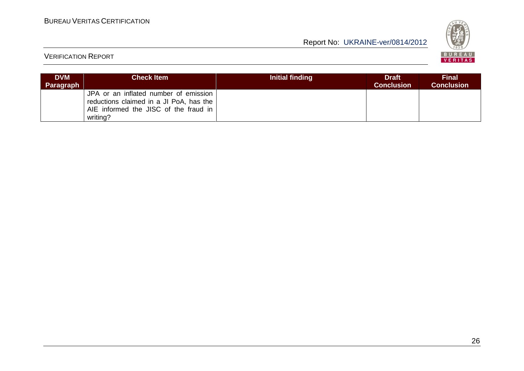

| <b>DVM</b><br>Paragraph | <b>Check Item</b>                                                                                                                     | Initial finding | <b>Draft</b><br><b>Conclusion</b> | Final<br><b>Conclusion</b> |
|-------------------------|---------------------------------------------------------------------------------------------------------------------------------------|-----------------|-----------------------------------|----------------------------|
|                         | JPA or an inflated number of emission<br>reductions claimed in a JI PoA, has the<br>AIE informed the JISC of the fraud in<br>writing? |                 |                                   |                            |